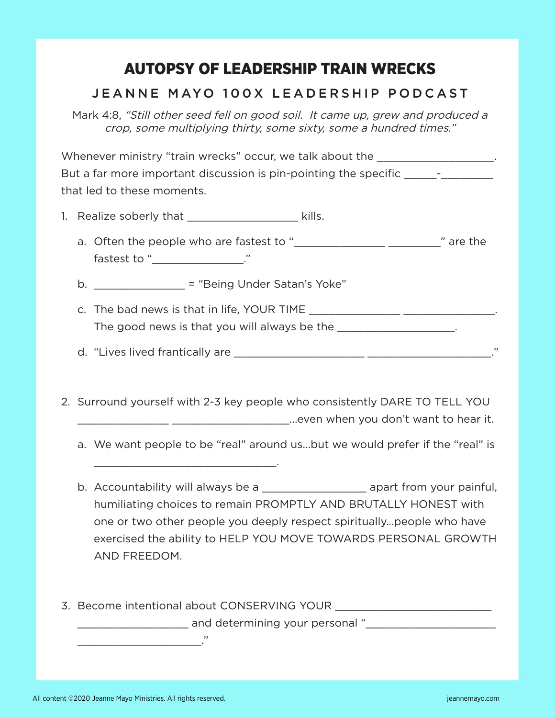## AUTOPSY OF LEADERSHIP TRAIN WRECKS

## JEANNE MAYO 100X LEADERSHIP PODCAST

Mark 4:8, "Still other seed fell on good soil. It came up, grew and produced a crop, some multiplying thirty, some sixty, some a hundred times."

Whenever ministry "train wrecks" occur, we talk about the \_\_\_\_\_\_\_\_\_\_\_\_\_\_\_\_\_\_\_\_. But a far more important discussion is pin-pointing the specific \_\_\_\_\_\_\_\_\_\_\_\_\_\_\_ that led to these moments.

1. Realize soberly that \_\_\_\_\_\_\_\_\_\_\_\_\_\_\_\_\_\_\_\_ kills.

\_\_\_\_\_\_\_\_\_\_\_\_\_\_\_\_\_\_\_\_\_\_\_\_\_\_\_\_.

- a. Often the people who are fastest to "\_\_\_\_\_\_\_\_\_\_\_\_\_\_\_\_\_\_\_\_\_\_\_\_\_\_\_\_\_\_\_\_" are the fastest to "\_\_\_\_\_\_\_\_\_\_\_\_\_\_\_\_\_\_\_\_."
- b.  $=$  "Being Under Satan's Yoke"
- c. The bad news is that in life, YOUR TIME \_\_\_\_\_\_\_\_\_\_\_\_\_\_\_\_\_\_\_\_\_\_\_\_\_\_\_\_\_\_\_\_. The good news is that you will always be the **will always** be the will be good news is that you will always be the
- d. "Lives lived frantically are \_\_\_\_\_\_\_\_\_\_\_\_\_\_\_\_\_\_\_\_ \_\_\_\_\_\_\_\_\_\_\_\_\_\_\_\_\_\_\_."
- 2. Surround yourself with 2-3 key people who consistently DARE TO TELL YOU \_\_\_\_\_\_\_\_\_\_\_\_\_\_ \_\_\_\_\_\_\_\_\_\_\_\_\_\_\_\_\_\_...even when you don't want to hear it.
	- a. We want people to be "real" around us...but we would prefer if the "real" is
	- b. Accountability will always be a \_\_\_\_\_\_\_\_\_\_\_\_\_\_\_\_\_\_\_\_\_ apart from your painful, humiliating choices to remain PROMPTLY AND BRUTALLY HONEST with one or two other people you deeply respect spiritually…people who have exercised the ability to HELP YOU MOVE TOWARDS PERSONAL GROWTH AND FREEDOM.
- 3. Become intentional about CONSERVING YOUR \_\_\_\_\_\_\_\_\_\_\_\_\_\_\_\_\_\_\_\_\_\_\_\_ \_\_\_\_\_\_\_\_\_\_\_\_\_\_\_\_\_\_\_\_\_\_ and determining your personal "\_\_\_\_\_\_\_\_\_\_\_\_\_\_\_\_\_\_\_\_\_\_\_\_\_\_

All content ©2020 Jeanne Mayo Ministries. All rights reserved. jeannemayo.com

\_\_\_\_\_\_\_\_\_\_\_\_\_\_\_\_\_\_\_."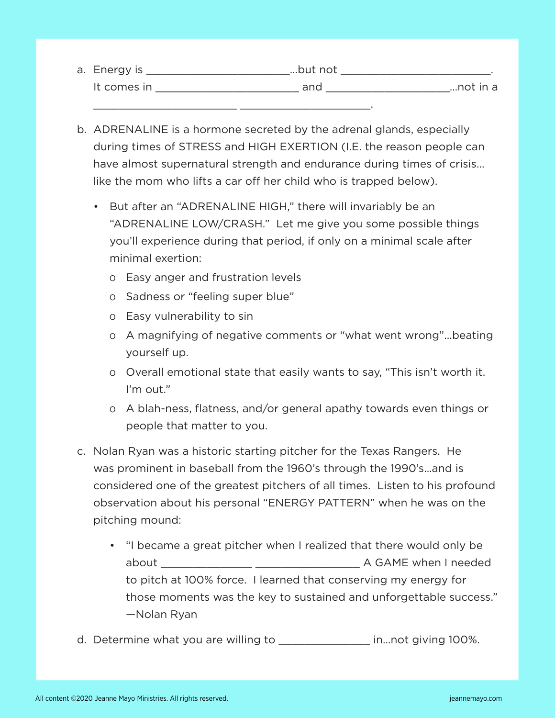| a. Energy is | but not |          |
|--------------|---------|----------|
| It comes in  | and     | not in a |
|              |         |          |

- b. ADRENALINE is a hormone secreted by the adrenal glands, especially during times of STRESS and HIGH EXERTION (I.E. the reason people can have almost supernatural strength and endurance during times of crisis... like the mom who lifts a car off her child who is trapped below).
	- But after an "ADRENALINE HIGH," there will invariably be an "ADRENALINE LOW/CRASH." Let me give you some possible things you'll experience during that period, if only on a minimal scale after minimal exertion:
		- o Easy anger and frustration levels
		- o Sadness or "feeling super blue"
		- o Easy vulnerability to sin
		- o A magnifying of negative comments or "what went wrong"...beating yourself up.
		- o Overall emotional state that easily wants to say, "This isn't worth it. I'm out."
		- o A blah-ness, flatness, and/or general apathy towards even things or people that matter to you.
- c. Nolan Ryan was a historic starting pitcher for the Texas Rangers. He was prominent in baseball from the 1960's through the 1990's…and is considered one of the greatest pitchers of all times. Listen to his profound observation about his personal "ENERGY PATTERN" when he was on the pitching mound:
	- "I became a great pitcher when I realized that there would only be about \_\_\_\_\_\_\_\_\_\_\_\_\_\_ \_\_\_\_\_\_\_\_\_\_\_\_\_\_\_\_ A GAME when I needed to pitch at 100% force. I learned that conserving my energy for those moments was the key to sustained and unforgettable success." —Nolan Ryan
- d. Determine what you are willing to \_\_\_\_\_\_\_\_\_\_\_\_\_\_ in...not giving 100%.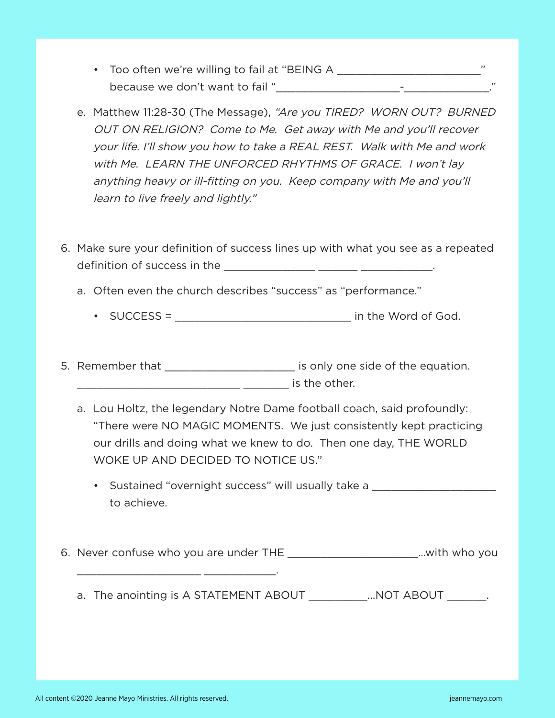- Too often we're willing to fail at "BEING A \_\_\_\_\_\_\_\_\_\_\_\_\_\_\_\_\_\_\_\_\_\_\_\_\_\_\_\_\_\_\_\_\_" because we don't want to fail "\_\_\_\_\_\_\_\_\_\_\_\_\_\_\_\_\_\_\_-\_\_\_\_\_\_\_\_\_\_\_\_\_."
- e. Matthew 11:28-30 (The Message), "Are you TIRED? WORN OUT? BURNED OUT ON RELIGION? Come to Me. Get away with Me and you'll recover your life. I'll show you how to take a REAL REST. Walk with Me and work with Me. LEARN THE UNFORCED RHYTHMS OF GRACE. I won't lay anything heavy or ill-fitting on you. Keep company with Me and you'll learn to live freely and lightly."
- 6. Make sure your definition of success lines up with what you see as a repeated definition of success in the \_\_\_\_\_\_\_\_\_\_\_\_\_\_ \_\_\_\_\_\_ \_\_\_\_\_\_\_\_\_\_\_.
	- a. Often even the church describes "success" as "performance."
		- SUCCESS = \_\_\_\_\_\_\_\_\_\_\_\_\_\_\_\_\_\_\_\_\_\_\_\_\_\_\_ in the Word of God.
- 5. Remember that \_\_\_\_\_\_\_\_\_\_\_\_\_\_\_\_\_\_\_\_\_\_\_ is only one side of the equation. \_\_\_\_\_\_\_\_\_\_\_\_\_\_\_\_\_\_\_\_\_\_\_\_\_ \_\_\_\_\_\_\_ is the other.
	- a. Lou Holtz, the legendary Notre Dame football coach, said profoundly: "There were NO MAGIC MOMENTS. We just consistently kept practicing our drills and doing what we knew to do. Then one day, THE WORLD WOKE UP AND DECIDED TO NOTICE US."
		- Sustained "overnight success" will usually take a \_\_\_\_\_\_\_\_\_\_\_\_\_\_\_\_\_\_\_\_\_\_\_\_\_\_\_\_ to achieve.
- 6. Never confuse who you are under THE \_\_\_\_\_\_\_\_\_\_\_\_\_\_\_\_\_\_\_\_…with who you
	- a. The anointing is A STATEMENT ABOUT \_\_\_\_\_\_\_\_\_\_...NOT ABOUT \_\_\_\_\_\_\_.

\_\_\_\_\_\_\_\_\_\_\_\_\_\_\_\_\_\_\_ \_\_\_\_\_\_\_\_\_\_\_.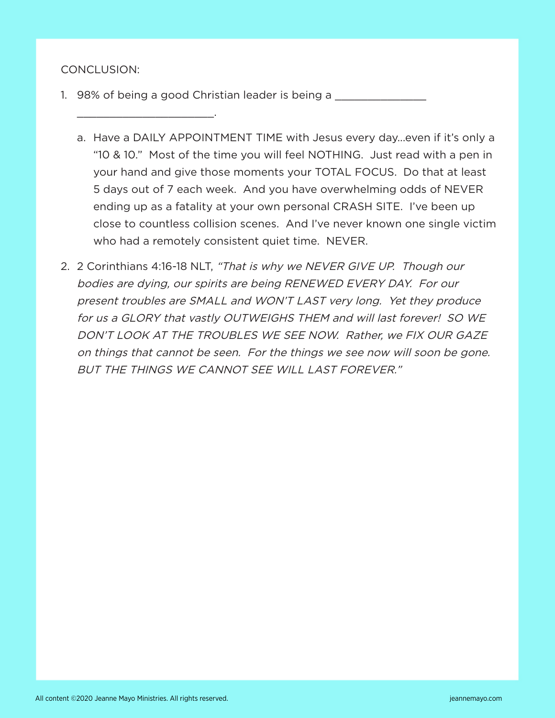## CONCLUSION:

\_\_\_\_\_\_\_\_\_\_\_\_\_\_\_\_\_\_\_\_\_.

- 1. 98% of being a good Christian leader is being a \_\_\_\_\_\_\_\_\_\_
	- a. Have a DAILY APPOINTMENT TIME with Jesus every day...even if it's only a "10 & 10." Most of the time you will feel NOTHING. Just read with a pen in your hand and give those moments your TOTAL FOCUS. Do that at least 5 days out of 7 each week. And you have overwhelming odds of NEVER ending up as a fatality at your own personal CRASH SITE. I've been up close to countless collision scenes. And I've never known one single victim who had a remotely consistent quiet time. NEVER.
- 2. 2 Corinthians 4:16-18 NLT, "That is why we NEVER GIVE UP. Though our bodies are dying, our spirits are being RENEWED EVERY DAY. For our present troubles are SMALL and WON'T LAST very long. Yet they produce for us a GLORY that vastly OUTWEIGHS THEM and will last forever! SO WE DON'T LOOK AT THE TROUBLES WE SEE NOW. Rather, we FIX OUR GAZE on things that cannot be seen. For the things we see now will soon be gone. BUT THE THINGS WE CANNOT SEE WILL LAST FOREVER."